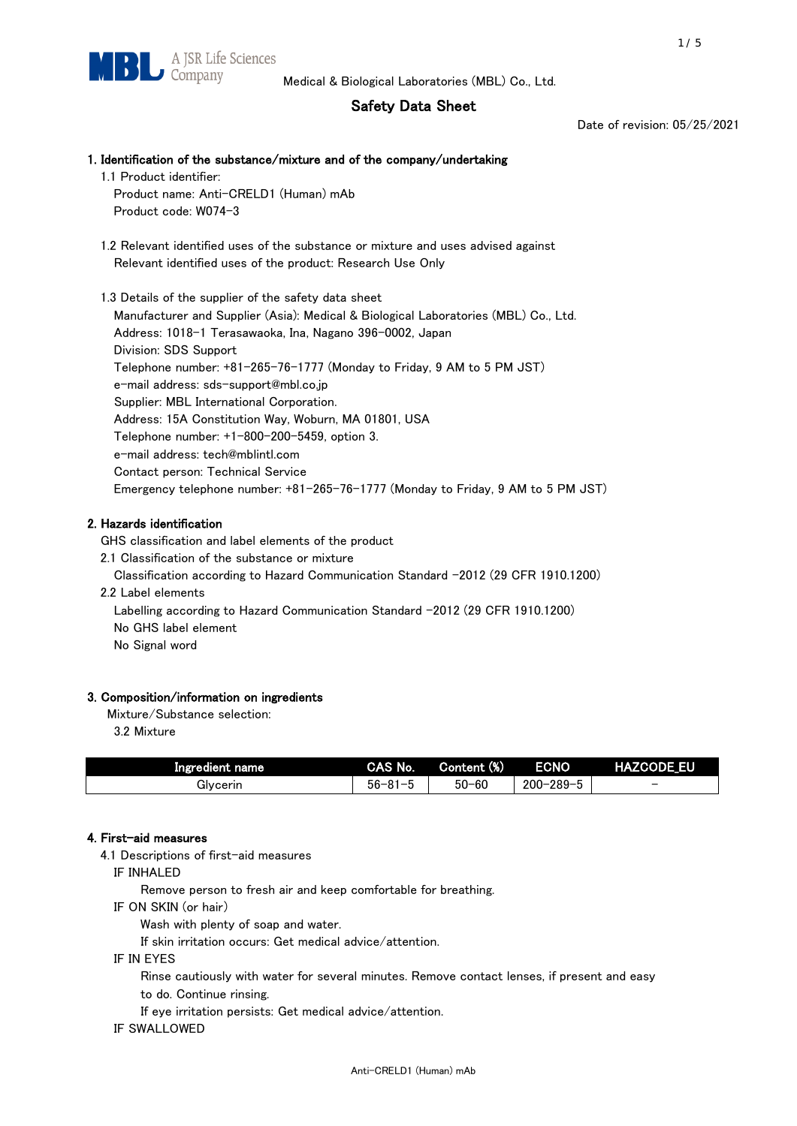# Safety Data Sheet

Date of revision: 05/25/2021

# 1. Identification of the substance/mixture and of the company/undertaking 1.1 Product identifier: Product name: Anti-CRELD1 (Human) mAb

Product code: W074-3

 1.2 Relevant identified uses of the substance or mixture and uses advised against Relevant identified uses of the product: Research Use Only

 1.3 Details of the supplier of the safety data sheet Manufacturer and Supplier (Asia): Medical & Biological Laboratories (MBL) Co., Ltd. Address: 1018-1 Terasawaoka, Ina, Nagano 396-0002, Japan Division: SDS Support Telephone number: +81-265-76-1777 (Monday to Friday, 9 AM to 5 PM JST) e-mail address: sds-support@mbl.co.jp Supplier: MBL International Corporation. Address: 15A Constitution Way, Woburn, MA 01801, USA Telephone number: +1-800-200-5459, option 3. e-mail address: tech@mblintl.com Contact person: Technical Service Emergency telephone number: +81-265-76-1777 (Monday to Friday, 9 AM to 5 PM JST)

# 2. Hazards identification

GHS classification and label elements of the product

2.1 Classification of the substance or mixture

Classification according to Hazard Communication Standard -2012 (29 CFR 1910.1200)

2.2 Label elements

Labelling according to Hazard Communication Standard -2012 (29 CFR 1910.1200) No GHS label element

No Signal word

# 3. Composition/information on ingredients

Mixture/Substance selection:

3.2 Mixture

| Ingredient name | CAS No.                       | Content (%) | <b>ECNO</b>                  | <b>HAZCODE EU</b>        |
|-----------------|-------------------------------|-------------|------------------------------|--------------------------|
| Glvcerin        | $56 - 8$<br>$01 -$<br>וט<br>u | $50 - 60$   | $200 - 2$<br>$-289 - c$<br>v | $\overline{\phantom{0}}$ |

## 4. First-aid measures

4.1 Descriptions of first-aid measures

IF INHALED

Remove person to fresh air and keep comfortable for breathing.

IF ON SKIN (or hair)

Wash with plenty of soap and water.

If skin irritation occurs: Get medical advice/attention.

IF IN EYES

Rinse cautiously with water for several minutes. Remove contact lenses, if present and easy

to do. Continue rinsing.

If eye irritation persists: Get medical advice/attention.

IF SWALLOWED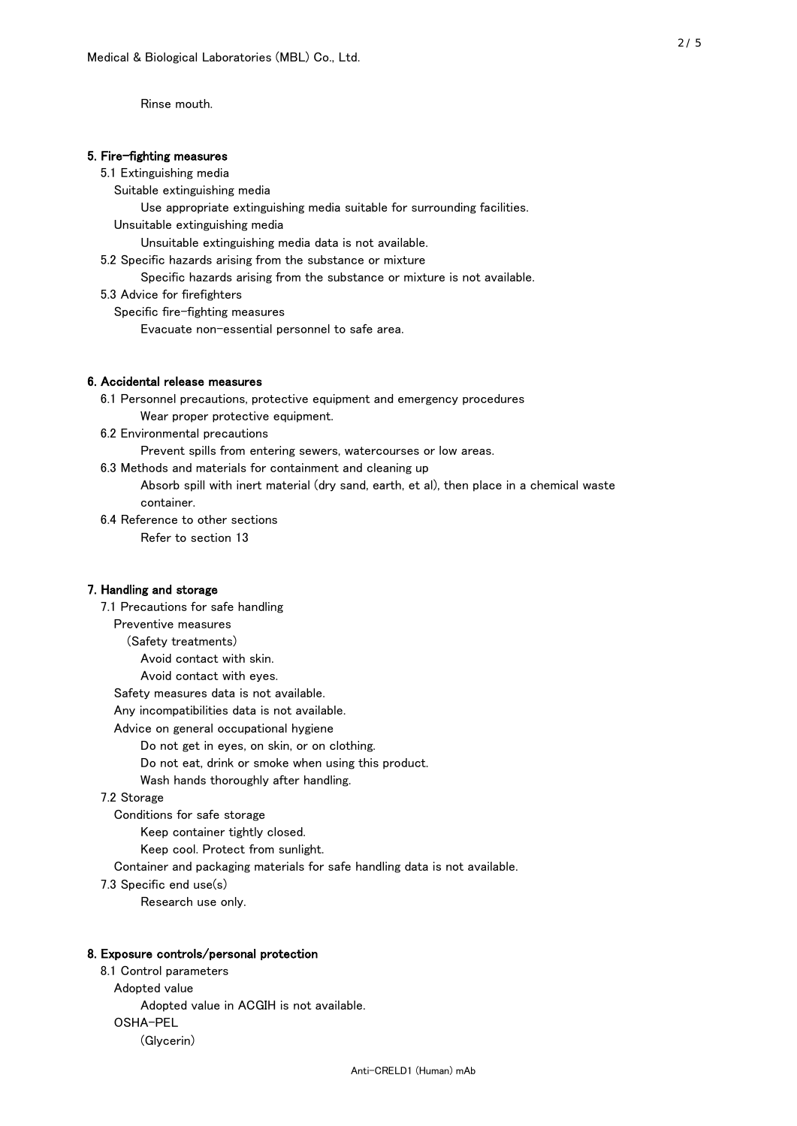Rinse mouth.

#### 5. Fire-fighting measures

#### 5.1 Extinguishing media

Suitable extinguishing media

- Use appropriate extinguishing media suitable for surrounding facilities.
- Unsuitable extinguishing media

Unsuitable extinguishing media data is not available.

5.2 Specific hazards arising from the substance or mixture

Specific hazards arising from the substance or mixture is not available.

5.3 Advice for firefighters

Specific fire-fighting measures

Evacuate non-essential personnel to safe area.

#### 6. Accidental release measures

 6.1 Personnel precautions, protective equipment and emergency procedures Wear proper protective equipment.

6.2 Environmental precautions

Prevent spills from entering sewers, watercourses or low areas.

6.3 Methods and materials for containment and cleaning up

 Absorb spill with inert material (dry sand, earth, et al), then place in a chemical waste container.

6.4 Reference to other sections

Refer to section 13

# 7. Handling and storage

 7.1 Precautions for safe handling Preventive measures (Safety treatments) Avoid contact with skin. Avoid contact with eyes. Safety measures data is not available. Any incompatibilities data is not available. Advice on general occupational hygiene Do not get in eyes, on skin, or on clothing. Do not eat, drink or smoke when using this product. Wash hands thoroughly after handling. 7.2 Storage Conditions for safe storage Keep container tightly closed.

Keep cool. Protect from sunlight.

Container and packaging materials for safe handling data is not available.

7.3 Specific end use(s)

Research use only.

#### 8. Exposure controls/personal protection

 8.1 Control parameters Adopted value Adopted value in ACGIH is not available. OSHA-PEL (Glycerin)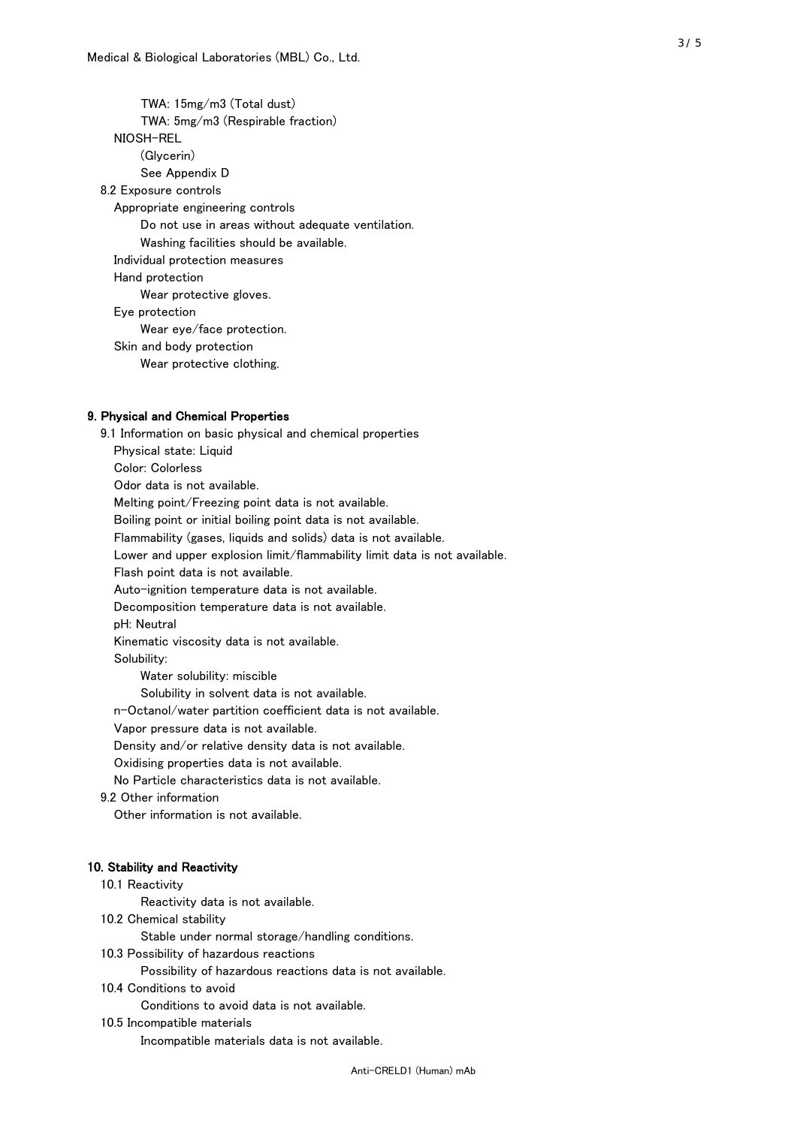TWA: 15mg/m3 (Total dust) TWA: 5mg/m3 (Respirable fraction) NIOSH-REL (Glycerin) See Appendix D 8.2 Exposure controls Appropriate engineering controls Do not use in areas without adequate ventilation. Washing facilities should be available. Individual protection measures Hand protection Wear protective gloves. Eye protection Wear eye/face protection. Skin and body protection Wear protective clothing.

#### 9. Physical and Chemical Properties

 9.1 Information on basic physical and chemical properties Physical state: Liquid Color: Colorless Odor data is not available. Melting point/Freezing point data is not available. Boiling point or initial boiling point data is not available. Flammability (gases, liquids and solids) data is not available. Lower and upper explosion limit/flammability limit data is not available. Flash point data is not available. Auto-ignition temperature data is not available. Decomposition temperature data is not available. pH: Neutral Kinematic viscosity data is not available. Solubility: Water solubility: miscible Solubility in solvent data is not available. n-Octanol/water partition coefficient data is not available. Vapor pressure data is not available. Density and/or relative density data is not available. Oxidising properties data is not available. No Particle characteristics data is not available. 9.2 Other information Other information is not available. 10. Stability and Reactivity 10.1 Reactivity Reactivity data is not available. 10.2 Chemical stability Stable under normal storage/handling conditions.

10.3 Possibility of hazardous reactions

Possibility of hazardous reactions data is not available.

10.4 Conditions to avoid

Conditions to avoid data is not available.

10.5 Incompatible materials

Incompatible materials data is not available.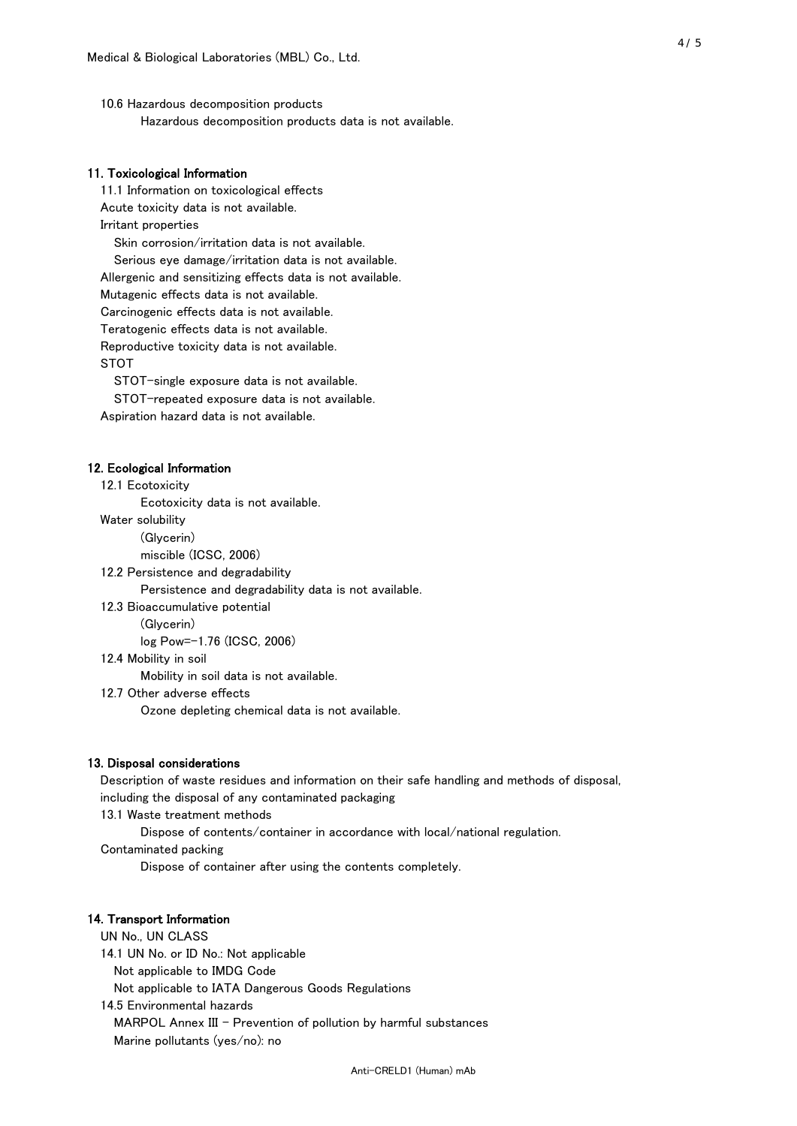10.6 Hazardous decomposition products Hazardous decomposition products data is not available.

# 11. Toxicological Information

 11.1 Information on toxicological effects Acute toxicity data is not available. Irritant properties Skin corrosion/irritation data is not available. Serious eye damage/irritation data is not available. Allergenic and sensitizing effects data is not available. Mutagenic effects data is not available. Carcinogenic effects data is not available. Teratogenic effects data is not available. Reproductive toxicity data is not available. STOT

STOT-single exposure data is not available.

STOT-repeated exposure data is not available.

Aspiration hazard data is not available.

#### 12. Ecological Information

12.1 Ecotoxicity

Ecotoxicity data is not available.

Water solubility

(Glycerin)

miscible (ICSC, 2006)

12.2 Persistence and degradability

Persistence and degradability data is not available.

12.3 Bioaccumulative potential

(Glycerin)

log Pow=-1.76 (ICSC, 2006)

12.4 Mobility in soil

Mobility in soil data is not available.

12.7 Other adverse effects

Ozone depleting chemical data is not available.

#### 13. Disposal considerations

 Description of waste residues and information on their safe handling and methods of disposal, including the disposal of any contaminated packaging

13.1 Waste treatment methods

Dispose of contents/container in accordance with local/national regulation.

Contaminated packing

Dispose of container after using the contents completely.

#### 14. Transport Information

 UN No., UN CLASS 14.1 UN No. or ID No.: Not applicable Not applicable to IMDG Code Not applicable to IATA Dangerous Goods Regulations

 14.5 Environmental hazards MARPOL Annex III - Prevention of pollution by harmful substances Marine pollutants (yes/no): no